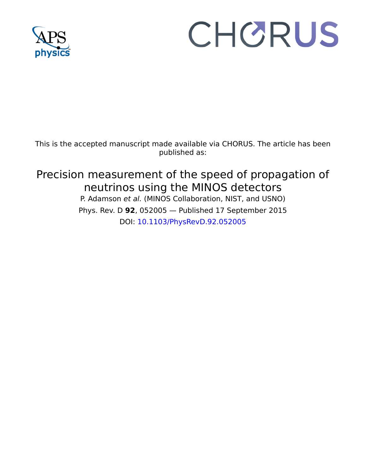

# CHORUS

This is the accepted manuscript made available via CHORUS. The article has been published as:

# Precision measurement of the speed of propagation of neutrinos using the MINOS detectors P. Adamson et al. (MINOS Collaboration, NIST, and USNO)

Phys. Rev. D **92**, 052005 — Published 17 September 2015 DOI: [10.1103/PhysRevD.92.052005](http://dx.doi.org/10.1103/PhysRevD.92.052005)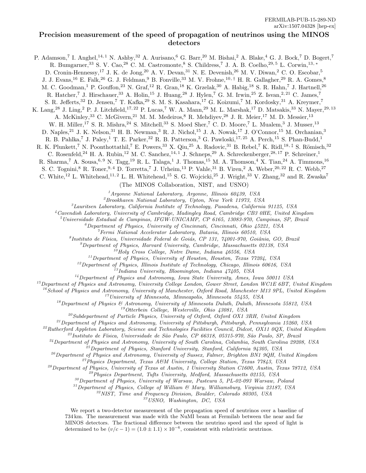# Precision measurement of the speed of propagation of neutrinos using the MINOS detectors

P. Adamson,<sup>7</sup> I. Anghel,<sup>14, 1</sup> N. Ashby,<sup>32</sup> A. Aurisano,<sup>6</sup> G. Barr,<sup>20</sup> M. Bishai,<sup>2</sup> A. Blake,<sup>4</sup> G. J. Bock,<sup>7</sup> D. Bogert,<sup>7</sup> R. Bumgarner,<sup>33</sup> S. V. Cao,<sup>28</sup> C. M. Castromonte,<sup>8</sup> S. Childress,<sup>7</sup> J. A. B. Coelho,<sup>29,5</sup> L. Corwin,<sup>13,\*</sup> D. Cronin-Hennessy,<sup>17</sup> J. K. de Jong,<sup>20</sup> A. V. Devan,<sup>31</sup> N. E. Devenish,<sup>26</sup> M. V. Diwan,<sup>2</sup> C. O. Escobar,<sup>5</sup> J. J. Evans,<sup>16</sup> E. Falk,<sup>26</sup> G. J. Feldman,<sup>9</sup> B. Fonville,<sup>33</sup> M. V. Frohne,<sup>10,†</sup> H. R. Gallagher,<sup>29</sup> R. A. Gomes,<sup>8</sup> M. C. Goodman,<sup>1</sup> P. Gouffon,<sup>23</sup> N. Graf,<sup>12</sup> R. Gran,<sup>18</sup> K. Grzelak,<sup>30</sup> A. Habig,<sup>18</sup> S. R. Hahn,<sup>7</sup> J. Hartnell,<sup>26</sup> R. Hatcher,<sup>7</sup> J. Hirschauer,<sup>33</sup> A. Holin,<sup>15</sup> J. Huang,<sup>28</sup> J. Hylen,<sup>7</sup> G. M. Irwin,<sup>25</sup> Z. Isvan,<sup>2, 21</sup> C. James,<sup>7</sup> S. R. Jefferts,<sup>32</sup> D. Jensen,<sup>7</sup> T. Kafka,<sup>29</sup> S. M. S. Kasahara,<sup>17</sup> G. Koizumi,<sup>7</sup> M. Kordosky,<sup>31</sup> A. Kreymer,<sup>7</sup> K. Lang,<sup>28</sup> J. Ling,<sup>2</sup> P. J. Litchfield,<sup>17, 22</sup> P. Lucas,<sup>7</sup> W. A. Mann,<sup>29</sup> M. L. Marshak,<sup>17</sup> D. Matsakis,<sup>33</sup> N. Mayer,<sup>29, 13</sup> A. McKinley,<sup>33</sup> C. McGivern,<sup>21</sup> M. M. Medeiros,<sup>8</sup> R. Mehdiyev,<sup>28</sup> J. R. Meier,<sup>17</sup> M. D. Messier,<sup>13</sup> W. H. Miller,<sup>17</sup> S. R. Mishra,<sup>24</sup> S. Mitchell,<sup>33</sup> S. Moed Sher,<sup>7</sup> C. D. Moore,<sup>7</sup> L. Mualem,<sup>3</sup> J. Musser,<sup>13</sup> D. Naples,  $^{21}$  J. K. Nelson,  $^{31}$  H. B. Newman,  $^{3}$  R. J. Nichol,  $^{15}$  J. A. Nowak,  $^{17}$  J. O'Connor,  $^{15}$  M. Orchanian,  $^{3}$ R. B. Pahlka,<sup>7</sup> J. Paley,<sup>1</sup> T. E. Parker,<sup>32</sup> R. B. Patterson,<sup>3</sup> G. Pawloski,<sup>17,25</sup> A. Perch,<sup>15</sup> S. Phan-Budd,<sup>1</sup> R. K. Plunkett,<sup>7</sup> N. Poonthottathil,<sup>7</sup> E. Powers,<sup>33</sup> X. Qiu,<sup>25</sup> A. Radovic,<sup>31</sup> B. Rebel,<sup>7</sup> K. Ridl,<sup>18, ‡</sup> S. Römisch,<sup>32</sup> C. Rosenfeld,<sup>24</sup> H. A. Rubin,<sup>12</sup> M. C. Sanchez,<sup>14, 1</sup> J. Schneps,<sup>29</sup> A. Schreckenberger,<sup>28, 17</sup> P. Schreiner,<sup>1</sup> R. Sharma,<sup>7</sup> A. Sousa,<sup>6, 9</sup> N. Tagg,<sup>19</sup> R. L. Talaga,<sup>1</sup> J. Thomas,<sup>15</sup> M. A. Thomson,<sup>4</sup> X. Tian,<sup>24</sup> A. Timmons,<sup>16</sup> S. C. Tognini,<sup>8</sup> R. Toner,<sup>9,4</sup> D. Torretta,<sup>7</sup> J. Urheim,<sup>13</sup> P. Vahle,<sup>31</sup> B. Viren,<sup>2</sup> A. Weber,<sup>20, 22</sup> R. C. Webb,<sup>27</sup> C. White,<sup>12</sup> L. Whitehead,<sup>11, 2</sup> L. H. Whitehead,<sup>15</sup> S. G. Wojcicki,<sup>25</sup> J. Wright,<sup>33</sup> V. Zhang,<sup>32</sup> and R. Zwaska<sup>7</sup> (The MINOS Collaboration, NIST, and USNO)  $1$ Argonne National Laboratory, Argonne, Illinois 60439, USA  ${}^{2}$ Brookhaven National Laboratory, Upton, New York 11973, USA <sup>3</sup>Lauritsen Laboratory, California Institute of Technology, Pasadena, California 91125, USA <sup>4</sup>Cavendish Laboratory, University of Cambridge, Madingley Road, Cambridge CB3 0HE, United Kingdom  $^{5}$ Universidade Estadual de Campinas, IFGW-UNICAMP, CP 6165, 13083-970, Campinas, SP, Brazil  ${}^6$ Department of Physics, University of Cincinnati, Cincinnati, Ohio 45221, USA  $7$ Fermi National Accelerator Laboratory, Batavia, Illinois 60510, USA <sup>8</sup>Instituto de Física, Universidade Federal de Goiás, CP 131, 74001-970, Goiânia, GO, Brazil  $^{9}$ Department of Physics, Harvard University, Cambridge, Massachusetts 02138, USA  $^{10}$ Holy Cross College, Notre Dame, Indiana 46556, USA  $11$ Department of Physics, University of Houston, Houston, Texas  $77204$ , USA  $12$ Department of Physics, Illinois Institute of Technology, Chicago, Illinois 60616, USA  $\frac{1}{13}$ Indiana University, Bloomington, Indiana 47405, USA  $14$  Department of Physics and Astronomy, Iowa State University, Ames, Iowa 50011 USA  $15$ Department of Physics and Astronomy, University College London, Gower Street, London WC1E 6BT, United Kingdom  $^{16}$ School of Physics and Astronomy, University of Manchester, Oxford Road, Manchester M13 9PL, United Kingdom  $17$ University of Minnesota, Minneapolis, Minnesota 55455, USA  $18$  Department of Physics & Astronomy, University of Minnesota Duluth, Duluth, Minnesota 55812, USA <sup>19</sup>Otterbein College, Westerville, Ohio 43081, USA  $^{20}Subdepartment$  of Particle Physics, University of Oxford, Oxford OX1 3RH, United Kingdom  $21$ Department of Physics and Astronomy, University of Pittsburgh, Pittsburgh, Pennsylvania 15260, USA  $^{22}Rutherford$  Appleton Laboratory, Science and Technologies Facilities Council, Didcot, OX11 0QX, United Kingdom  $^{23}$ Instituto de Física, Universidade de São Paulo, CP 66318, 05315-970, São Paulo, SP, Brazil <sup>24</sup> Department of Physics and Astronomy, University of South Carolina, Columbia, South Carolina 29208, USA  $^{25}$ Department of Physics, Stanford University, Stanford, California 94305, USA  $^{26}$ Department of Physics and Astronomy, University of Sussex, Falmer, Brighton BN1 9QH, United Kingdom  $^{27}$ Physics Department, Texas A&M University, College Station, Texas 77843, USA <sup>28</sup>Department of Physics, University of Texas at Austin, 1 University Station C1600, Austin, Texas 78712, USA <sup>29</sup>Physics Department, Tufts University, Medford, Massachusetts 02155, USA  $30$ Department of Physics, University of Warsaw, Pasteura 5, PL-02-093 Warsaw, Poland

 $31$  Department of Physics, College of William & Mary, Williamsburg, Virginia 23187, USA

<sup>32</sup>NIST, Time and Frequency Division, Boulder, Colorado 80305, USA

<sup>33</sup>USNO, Washington, DC, USA

We report a two-detector measurement of the propagation speed of neutrinos over a baseline of 734 km. The measurement was made with the NuMI beam at Fermilab between the near and far MINOS detectors. The fractional difference between the neutrino speed and the speed of light is determined to be  $(v/c - 1) = (1.0 \pm 1.1) \times 10^{-6}$ , consistent with relativistic neutrinos.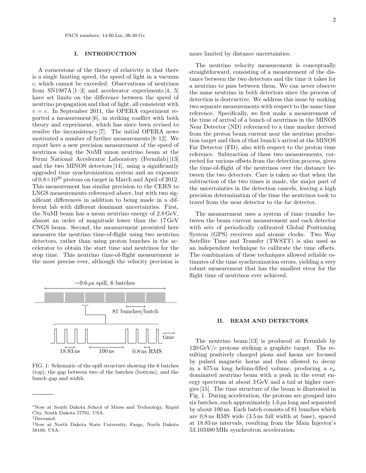### I. INTRODUCTION

A cornerstone of the theory of relativity is that there is a single limiting speed, the speed of light in a vacuum c, which cannot be exceeded. Observations of neutrinos from SN1987A [1–3] and accelerator experiments [4, 5] have set limits on the difference between the speed of neutrino propagation and that of light, all consistent with  $v = c$ . In September 2011, the OPERA experiment reported a measurement [6], in striking conflict with both theory and experiment, which has since been revised to resolve the inconsistency [7]. The initial OPERA news motivated a number of further measurements [8–12]. We report here a new precision measurement of the speed of neutrinos using the NuMI muon neutrino beam at the Fermi National Accelerator Laboratory (Fermilab) [13] and the two MINOS detectors [14], using a significantly upgraded time synchronization system and an exposure of  $0.8 \times 10^{20}$  protons on target in March and April of 2012. This measurement has similar precision to the CERN to LNGS measurements referenced above, but with two significant differences in addition to being made in a different lab with different dominant uncertainties. First, the NuMI beam has a mean neutrino energy of 2.8 GeV, almost an order of magnitude lower than the 17 GeV CNGS beam. Second, the measurement presented here measures the neutrino time-of-flight using two neutrino detectors, rather than using proton bunches in the accelerator to obtain the start time and neutrinos for the stop time. This neutrino time-of-flight measurement is the most precise ever, although the velocity precision is



FIG. 1: Schematic of the spill structure showing the 6 batches (top), the gap between two of the batches (bottom), and the bunch gap and width.

more limited by distance uncertainties.

The neutrino velocity measurement is conceptually straightforward, consisting of a measurement of the distance between the two detectors and the time it takes for a neutrino to pass between them. We can never observe the same neutrino in both detectors since the process of detection is destructive. We address this issue by making two separate measurements with respect to the same time reference. Specifically, we first make a measurement of the time of arrival of a bunch of neutrinos in the MINOS Near Detector (ND) referenced to a time marker derived from the proton beam current near the neutrino production target and then of that bunch's arrival at the MINOS Far Detector (FD), also with respect to the proton time reference. Subtraction of these two measurements, corrected for various offsets from the detection process, gives the time-of-flight of the neutrinos over the distance between the two detectors. Care is taken so that when the subtraction of the two times is made, the major part of the uncertainties in the detection cancels, leaving a high precision determination of the time the neutrinos took to travel from the near detector to the far detector.

The measurement uses a system of time transfer between the beam current measurement and each detector with sets of periodically calibrated Global Positioning System (GPS) receivers and atomic clocks. Two Way Satellite Time and Transfer (TWSTT) is also used as an independent technique to calibrate the time offsets. The combination of these techniques allowed reliable estimates of the time synchronization errors, yielding a very robust measurement that has the smallest error for the flight time of neutrinos ever achieved.

#### II. BEAM AND DETECTORS

The neutrino beam [13] is produced at Fermilab by  $120 \,\mathrm{GeV}/c$  protons striking a graphite target. The resulting positively charged pions and kaons are focused by pulsed magnetic horns and then allowed to decay in a 675 m long helium-filled volume, producing a  $\nu_{\mu}$ dominated neutrino beam with a peak in the event energy spectrum at about 3 GeV and a tail at higher energies [15]. The time structure of the beam is illustrated in Fig. 1. During acceleration, the protons are grouped into six batches, each approximately  $1.6 \,\mu s$  long and separated by about 100 ns. Each batch consists of 81 bunches which are 0.8 ns RMS wide (3.5 ns full width at base), spaced at 18.83 ns intervals, resulting from the Main Injector's 53.103480 MHz synchrotron acceleration.

<sup>∗</sup>Now at South Dakota School of Mines and Technology, Rapid City, South Dakota 57701, USA. †Deceased.

<sup>‡</sup>Now at North Dakota State University, Fargo, North Dakota 58108, USA.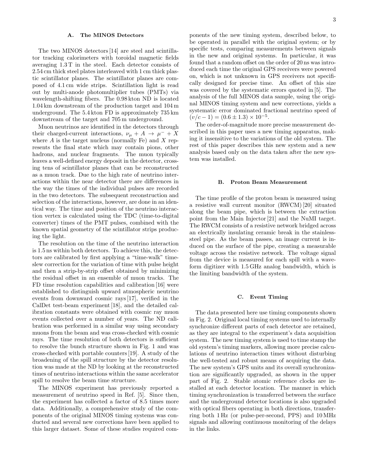#### A. The MINOS Detectors

The two MINOS detectors [14] are steel and scintillator tracking calorimeters with toroidal magnetic fields averaging 1.3 T in the steel. Each detector consists of 2.54 cm thick steel plates interleaved with 1 cm thick plastic scintillator planes. The scintillator planes are composed of 4.1 cm wide strips. Scintillation light is read out by multi-anode photomultiplier tubes (PMTs) via wavelength-shifting fibers. The 0.98 kton ND is located 1.04 km downstream of the production target and 104 m underground. The 5.4 kton FD is approximately 735 km downstream of the target and 705 m underground.

Muon neutrinos are identified in the detectors through their charged-current interactions,  $\nu_{\mu} + A \rightarrow \mu^{-} + X$ where  $A$  is the target nucleus (normally Fe) and  $X$  represents the final state which may contain pions, other hadrons, and nuclear fragments. The muon typically leaves a well-defined energy deposit in the detector, crossing tens of scintillator planes that can be reconstructed as a muon track. Due to the high rate of neutrino interactions within the near detector there are differences in the way the times of the individual pulses are recorded in the two detectors. The subsequent reconstruction and selection of the interactions, however, are done in an identical way. The time and position of the neutrino interaction vertex is calculated using the TDC (time-to-digital converter) times of the PMT pulses, combined with the known spatial geometry of the scintillator strips producing the light.

The resolution on the time of the neutrino interaction is 1.5 ns within both detectors. To achieve this, the detectors are calibrated by first applying a "time-walk" timeslew correction for the variation of time with pulse height and then a strip-by-strip offset obtained by minimizing the residual offset in an ensemble of muon tracks. The FD time resolution capabilities and calibration [16] were established to distinguish upward atmospheric neutrino events from downward cosmic rays [17], verified in the CalDet test-beam experiment [18], and the detailed calibration constants were obtained with cosmic ray muon events collected over a number of years. The ND calibration was performed in a similar way using secondary muons from the beam and was cross-checked with cosmic rays. The time resolution of both detectors is sufficient to resolve the bunch structure shown in Fig. 1 and was cross-checked with portable counters [19]. A study of the broadening of the spill structure by the detector resolution was made at the ND by looking at the reconstructed times of neutrino interactions within the same accelerator spill to resolve the beam time structure.

The MINOS experiment has previously reported a measurement of neutrino speed in Ref. [5]. Since then, the experiment has collected a factor of 8.5 times more data. Additionally, a comprehensive study of the components of the original MINOS timing systems was conducted and several new corrections have been applied to this larger dataset. Some of these studies required com-

ponents of the new timing system, described below, to be operated in parallel with the original system; or by specific tests, comparing measurements between signals in the new and original systems. In particular, it was found that a random offset on the order of 20 ns was introduced each time the original GPS receivers were powered on, which is not unknown in GPS receivers not specifically designed for precise time. An offset of this size was covered by the systematic errors quoted in [5]. The analysis of the full MINOS data sample, using the original MINOS timing system and new corrections, yields a systematic error dominated fractional neutrino speed of  $(v/c - 1) = (0.6 \pm 1.3) \times 10^{-5}$ .

The order-of-magnitude more precise measurement described in this paper uses a new timing apparatus, making it insensitive to the variations of the old system. The rest of this paper describes this new system and a new analysis based only on the data taken after the new system was installed.

#### B. Proton Beam Measurement

The time profile of the proton beam is measured using a resistive wall current monitor (RWCM) [20] situated along the beam pipe, which is between the extraction point from the Main Injector [21] and the NuMI target. The RWCM consists of a resistive network bridged across an electrically insulating ceramic break in the stainlesssteel pipe. As the beam passes, an image current is induced on the surface of the pipe, creating a measurable voltage across the resistive network. The voltage signal from the device is measured for each spill with a waveform digitizer with 1.5 GHz analog bandwidth, which is the limiting bandwidth of the system.

#### C. Event Timing

The data presented here use timing components shown in Fig. 2. Original local timing systems used to internally synchronize different parts of each detector are retained, as they are integral to the experiment's data acquisition system. The new timing system is used to time stamp the old system's timing markers, allowing more precise calculations of neutrino interaction times without disturbing the well-tested and robust means of acquiring the data. The new system's GPS units and its overall synchronization are significantly upgraded, as shown in the upper part of Fig. 2. Stable atomic reference clocks are installed at each detector location. The manner in which timing synchronization is transferred between the surface and the underground detector locations is also upgraded with optical fibers operating in both directions, transferring both 1 Hz (or pulse-per-second, PPS) and 10 MHz signals and allowing continuous monitoring of the delays in the links.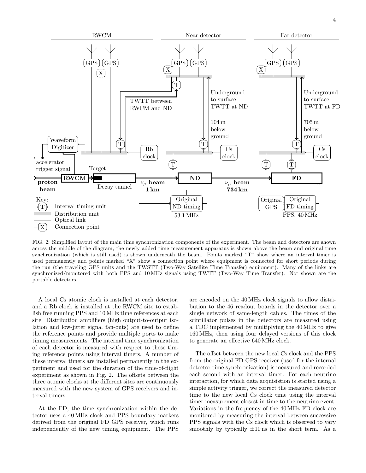

FIG. 2: Simplified layout of the main time synchronization components of the experiment. The beam and detectors are shown across the middle of the diagram, the newly added time measurement apparatus is shown above the beam and original time synchronization (which is still used) is shown underneath the beam. Points marked "T" show where an interval timer is used permanently and points marked "X" show a connection point where equipment is connected for short periods during the run (the traveling GPS units and the TWSTT (Two-Way Satellite Time Transfer) equipment). Many of the links are synchronized/monitored with both PPS and 10 MHz signals using TWTT (Two-Way Time Transfer). Not shown are the portable detectors.

A local Cs atomic clock is installed at each detector, and a Rb clock is installed at the RWCM site to establish free running PPS and 10 MHz time references at each site. Distribution amplifiers (high output-to-output isolation and low-jitter signal fan-outs) are used to define the reference points and provide multiple ports to make timing measurements. The internal time synchronization of each detector is measured with respect to these timing reference points using interval timers. A number of these interval timers are installed permanently in the experiment and used for the duration of the time-of-flight experiment as shown in Fig. 2. The offsets between the three atomic clocks at the different sites are continuously measured with the new system of GPS receivers and interval timers.

At the FD, the time synchronization within the detector uses a 40 MHz clock and PPS boundary markers derived from the original FD GPS receiver, which runs independently of the new timing equipment. The PPS

are encoded on the 40 MHz clock signals to allow distribution to the 46 readout boards in the detector over a single network of same-length cables. The times of the scintillator pulses in the detectors are measured using a TDC implemented by multiplying the 40 MHz to give 160 MHz, then using four delayed versions of this clock to generate an effective 640 MHz clock.

The offset between the new local Cs clock and the PPS from the original FD GPS receiver (used for the internal detector time synchronization) is measured and recorded each second with an interval timer. For each neutrino interaction, for which data acquisistion is started using a simple activity trigger, we correct the measured detector time to the new local Cs clock time using the interval timer measurement closest in time to the neutrino event. Variations in the frequency of the 40 MHz FD clock are monitored by measuring the interval between successive PPS signals with the Cs clock which is observed to vary smoothly by typically  $\pm 10 \text{ ns}$  in the short term. As a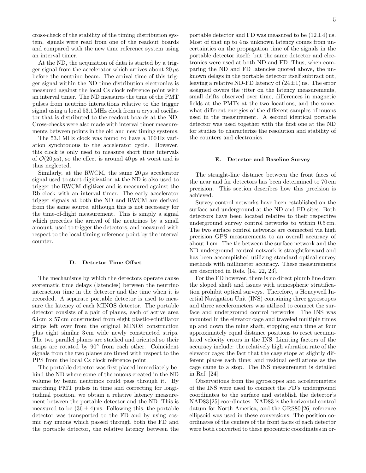cross-check of the stability of the timing distribution system, signals were read from one of the readout boards and compared with the new time reference system using an interval timer.

At the ND, the acquisition of data is started by a trigger signal from the accelerator which arrives about  $20 \mu s$ before the neutrino beam. The arrival time of this trigger signal within the ND time distribution electronics is measured against the local Cs clock reference point with an interval timer. The ND measures the time of the PMT pulses from neutrino interactions relative to the trigger signal using a local 53.1 MHz clock from a crystal oscillator that is distributed to the readout boards at the ND. Cross-checks were also made with interval timer measurements between points in the old and new timing systems.

The 53.1 MHz clock was found to have a 100 Hz variation synchronous to the accelerator cycle. However, this clock is only used to measure short time intervals of  $\mathcal{O}(20 \,\mu s)$ , so the effect is around 40 ps at worst and is thus neglected.

Similarly, at the RWCM, the same  $20 \mu s$  accelerator signal used to start digitization at the ND is also used to trigger the RWCM digitizer and is measured against the Rb clock with an interval timer. The early accelerator trigger signals at both the ND and RWCM are derived from the same source, although this is not necessary for the time-of-flight measurement. This is simply a signal which precedes the arrival of the neutrinos by a small amount, used to trigger the detectors, and measured with respect to the local timing reference point by the interval counter.

#### D. Detector Time Offset

The mechanisms by which the detectors operate cause systematic time delays (latencies) between the neutrino interaction time in the detector and the time when it is recorded. A separate portable detector is used to measure the latency of each MINOS detector. The portable detector consists of a pair of planes, each of active area  $63 \text{ cm} \times 57 \text{ cm}$  constructed from eight plastic-scintillator strips left over from the original MINOS construction plus eight similar 3 cm wide newly constructed strips. The two parallel planes are stacked and oriented so their strips are rotated by  $90°$  from each other. Coincident signals from the two planes are timed with respect to the PPS from the local Cs clock reference point.

The portable detector was first placed immediately behind the ND where some of the muons created in the ND volume by beam neutrinos could pass through it. By matching PMT pulses in time and correcting for longitudinal position, we obtain a relative latency measurement between the portable detector and the ND. This is measured to be  $(36 \pm 4)$  ns. Following this, the portable detector was transported to the FD and by using cosmic ray muons which passed through both the FD and the portable detector, the relative latency between the

portable detector and FD was measured to be  $(12 \pm 4)$  ns. Most of that up to 4 ns unknown latency comes from uncertainties on the propagation time of the signals in the portable detector itself: but the same detector and electronics were used at both ND and FD. Thus, when comparing the ND and FD latencies quoted above, the unknown delays in the portable detector itself subtract out, leaving a relative ND-FD latency of  $(24\pm1)$  ns. The error assigned covers the jitter on the latency measurements, small drifts observed over time, differences in magnetic fields at the PMTs at the two locations, and the somewhat different energies of the different samples of muons used in the measurement. A second identical portable detector was used together with the first one at the ND for studies to characterize the resolution and stability of the counters and electronics.

#### E. Detector and Baseline Survey

The straight-line distance between the front faces of the near and far detectors has been determined to 70 cm precision. This section describes how this precision is achieved.

Survey control networks have been established on the surface and underground at the ND and FD sites. Both detectors have been located relative to their respective underground survey control networks to within 0.5 cm. The two surface control networks are connected via high precision GPS measurements to an overall accuracy of about 1 cm. The tie between the surface network and the ND underground control network is straightforward and has been accomplished utilizing standard optical survey methods with millimeter accuracy. These measurements are described in Refs. [14, 22, 23].

For the FD however, there is no direct plumb line down the sloped shaft and issues with atmospheric stratification prohibit optical surveys. Therefore, a Honeywell Inertial Navigation Unit (INS) containing three gyroscopes and three accelerometers was utilized to connect the surface and underground control networks. The INS was mounted in the elevator cage and traveled multiple times up and down the mine shaft, stopping each time at four approximately equal distance positions to reset accumulated velocity errors in the INS. Limiting factors of the accuracy include: the relatively high vibration rate of the elevator cage; the fact that the cage stops at slightly different places each time; and residual oscillations as the cage came to a stop. The INS measurement is detailed in Ref. [24].

Observations from the gyroscopes and accelerometers of the INS were used to connect the FD's underground coordinates to the surface and establish the detector's NAD83 [25] coordinates. NAD83 is the horizontal control datum for North America, and the GRS80 [26] reference ellipsoid was used in these conversions. The position coordinates of the centers of the front faces of each detector were both converted to these geocentric coordinates in or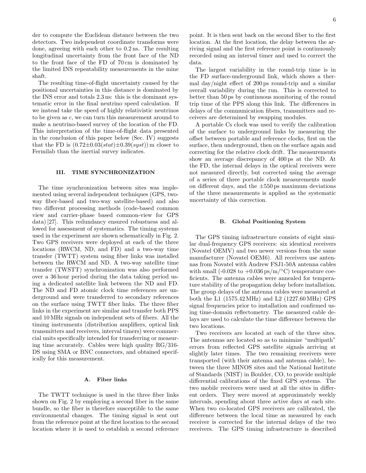der to compute the Euclidean distance between the two detectors. Two independent coordinate transforms were done, agreeing with each other to 0.2 ns. The resulting longitudinal uncertainty from the front face of the ND to the front face of the FD of 70 cm is dominated by the limited INS repeatability measurements in the mine shaft.

The resulting time-of-flight uncertainty caused by the positional uncertainties in this distance is dominated by the INS error and totals 2.3 ns: this is the dominant systematic error in the final neutrino speed calculation. If we instead take the speed of highly relativistic neutrinos to be given as c, we can turn this measurement around to make a neutrino-based survey of the location of the FD. This interpretation of the time-of-flight data presented in the conclusion of this paper below (Sec. IV) suggests that the FD is  $(0.72\pm0.03(stat)\pm0.39(syst))$  m closer to Fermilab than the inertial survey indicates.

# III. TIME SYNCHRONIZATION

The time synchronization between sites was implemented using several independent techniques (GPS, twoway fiber-based and two-way satellite-based) and also two different processing methods (code-based common view and carrier-phase based common-view for GPS data) [27]. This redundancy ensured robustness and allowed for assessment of systematics. The timing systems used in the experiment are shown schematically in Fig. 2. Two GPS receivers were deployed at each of the three locations (RWCM, ND, and FD) and a two-way time transfer (TWTT) system using fiber links was installed between the RWCM and ND. A two-way satellite time transfer (TWSTT) synchronization was also performed over a 36 hour period during the data taking period using a dedicated satellite link between the ND and FD. The ND and FD atomic clock time references are underground and were transferred to secondary references on the surface using TWTT fiber links. The three fiber links in the experiment are similar and transfer both PPS and 10 MHz signals on independent sets of fibers. All the timing instruments (distribution amplifiers, optical link transmitters and receivers, interval timers) were commercial units specifically intended for transferring or measuring time accurately. Cables were high quality RG/316- DS using SMA or BNC connectors, and obtained specifically for this measurement.

#### A. Fiber links

The TWTT technique is used in the three fiber links shown on Fig. 2 by employing a second fiber in the same bundle, so the fiber is therefore susceptible to the same environmental changes. The timing signal is sent out from the reference point at the first location to the second location where it is used to establish a second reference

point. It is then sent back on the second fiber to the first location. At the first location, the delay between the arriving signal and the first reference point is continuously recorded using an interval timer and used to correct the data.

The largest variability in the round-trip time is in the FD surface-underground link, which shows a thermal day/night effect of 200 ps round-trip and a similar overall variability during the run. This is corrected to better than 50 ps by continuous monitoring of the round trip time of the PPS along this link. The differences in delays of the communication fibers, transmitters and receivers are determined by swapping modules.

A portable Cs clock was used to verify the calibration of the surface to underground links by measuring the offset between portable and reference clocks, first on the surface, then underground, then on the surface again and correcting for the relative clock drift. The measurements show an average discrepancy of 400 ps at the ND. At the FD, the internal delays in the optical receivers were not measured directly, but corrected using the average of a series of three portable clock measurements made on different days, and the  $\pm 550 \,\mathrm{ps}$  maximum deviations of the three measurements is applied as the systematic uncertainty of this correction.

# B. Global Positioning System

The GPS timing infrastructure consists of eight similar dual-frequency GPS receivers: six identical receivers (Novatel OEMV) and two newer versions from the same manufacturer (Novatel OEM6). All receivers use antennas from Novatel with Andrew FSJ1-50A antenna cables with small (-0.028 to  $+0.036 \,\mathrm{ps/m/°C}$ ) temperature coeficients. The antenna cables were annealed for temperature stability of the propagation delay before installation. The group delays of the antenna cables were measured at both the L1 (1575.42 MHz) and L2 (1227.60 MHz) GPS signal frequencies prior to installation and confirmed using time-domain reflectometry. The measured cable delays are used to calculate the time difference between the two locations.

Two receivers are located at each of the three sites. The antennas are located so as to minimize "multipath" errors from reflected GPS satellite signals arriving at slightly later times. The two remaining receivers were transported (with their antenna and antenna cable), between the three MINOS sites and the National Institute of Standards (NIST) in Boulder, CO, to provide multiple differential calibrations of the fixed GPS systems. The two mobile receivers were used at all the sites in different orders. They were moved at approximately weekly intervals, spending about three active days at each site. When two co-located GPS receivers are calibrated, the difference between the local time as measured by each receiver is corrected for the internal delays of the two receivers. The GPS timing infrastructure is described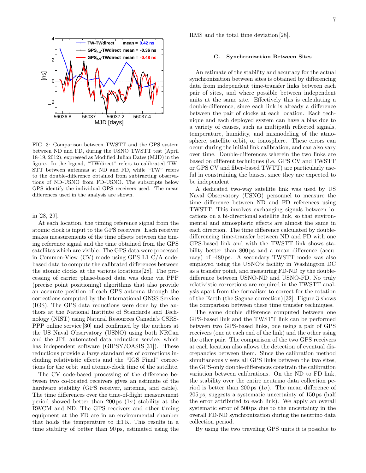

FIG. 3: Comparison between TWSTT and the GPS system between ND and FD, during the USNO TWSTT test (April 18-19, 2012), expressed as Modified Julian Dates (MJD) in the figure. In the legend, "TWdirect" refers to calibrated TW-STT between antennas at ND and FD, while "TW" refers to the double-difference obtained from subtracting observations of ND-USNO from FD-USNO. The subscripts below GPS identify the individual GPS receivers used. The mean differences used in the analysis are shown.

in [28, 29].

At each location, the timing reference signal from the atomic clock is input to the GPS receivers. Each receiver makes measurements of the time offsets between the timing reference signal and the time obtained from the GPS satellites which are visible. The GPS data were processed in Common-View (CV) mode using GPS L1 C/A codebased data to compute the calibrated differences between the atomic clocks at the various locations [28]. The processing of carrier phase-based data was done via PPP (precise point positioning) algorithms that also provide an accurate position of each GPS antenna through the corrections computed by the International GNSS Service (IGS). The GPS data reductions were done by the authors at the National Institute of Standards and Technology (NIST) using Natural Resources Canada's CSRS-PPP online service [30] and confirmed by the authors at the US Naval Observatory (USNO) using both NRCan and the JPL automated data reduction service, which has independent software (GIPSY/OASIS [31]). These reductions provide a large standard set of corrections including relativistic effects and the "IGS Final" corrections for the orbit and atomic-clock time of the satellite.

The CV code-based processing of the difference between two co-located receivers gives an estimate of the hardware stability (GPS receiver, antenna, and cable). The time differences over the time-of-flight measurement period showed better than 200 ps  $(1\sigma)$  stability at the RWCM and ND. The GPS receivers and other timing equipment at the FD are in an environmental chamber that holds the temperature to  $\pm 1$  K. This results in a time stability of better than 90 ps, estimated using the

RMS and the total time deviation [28].

#### C. Synchronization Between Sites

An estimate of the stability and accuracy for the actual synchronization between sites is obtained by differencing data from independent time-transfer links between each pair of sites, and where possible between independent units at the same site. Effectively this is calculating a double-difference, since each link is already a difference between the pair of clocks at each location. Each technique and each deployed system can have a bias due to a variety of causes, such as multipath reflected signals, temperature, humidity, and mismodeling of the atmosphere, satellite orbit, or ionosphere. These errors can occur during the initial link calibration, and can also vary over time. Double-differences wherein the two links are based on different techniques (i.e. GPS CV and TWSTT or GPS CV and fiber-based TWTT) are particularly useful in constraining the biases, since they are expected to be independent.

A dedicated two-way satellite link was used by US Naval Observatory (USNO) personnel to measure the time difference between ND and FD references using TWSTT. This involves exchanging signals between locations on a bi-directional satellite link, so that environmental and atmospheric effects are almost the same in each direction. The time difference calculated by doubledifferencing time-transfer between ND and FD with one GPS-based link and with the TWSTT link shows stability better than 800 ps and a mean difference (accuracy) of -480 ps. A secondary TWSTT mode was also employed using the USNO's facility in Washington DC as a transfer point, and measuring FD-ND by the doubledifference between USNO-ND and USNO-FD. No truly relativistic corrections are required in the TWSTT analysis apart from the formalism to correct for the rotation of the Earth (the Sagnac correction) [32]. Figure 3 shows the comparison between these time transfer techniques.

The same double difference computed between one GPS-based link and the TWSTT link can be performed between two GPS-based links, one using a pair of GPS receivers (one at each end of the link) and the other using the other pair. The comparison of the two GPS receivers at each location also allows the detection of eventual discrepancies between them. Since the calibration method simultaneously sets all GPS links between the two sites, the GPS-only double-differences constrain the calibration variation between calibrations. On the ND to FD link, the stability over the entire neutrino data collection period is better than 200 ps  $(1\sigma)$ . The mean difference of 205 ps, suggests a systematic uncertainty of 150 ps (half the error attributed to each link). We apply an overall systematic error of 500 ps due to the uncertainty in the overall FD-ND synchronization during the neutrino data collection period.

By using the two traveling GPS units it is possible to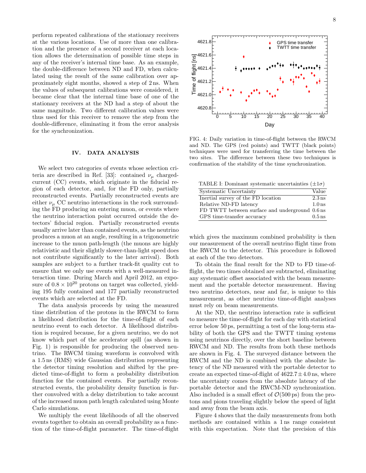perform repeated calibrations of the stationary receivers at the various locations. Use of more than one calibration and the presence of a second receiver at each location allows the determination of possible time steps in any of the receiver's internal time base. As an example, the double-difference between ND and FD, when calculated using the result of the same calibration over approximately eight months, showed a step of 2 ns. When the values of subsequent calibrations were considered, it became clear that the internal time base of one of the stationary receivers at the ND had a step of about the same magnitude. Two different calibration values were thus used for this receiver to remove the step from the double-difference, eliminating it from the error analysis for the synchronization.

#### IV. DATA ANALYSIS

We select two categories of events whose selection criteria are described in Ref. [33]: contained  $\nu_{\mu}$  chargedcurrent (CC) events, which originate in the fiducial region of each detector, and, for the FD only, partially reconstructed events. Partially reconstructed events are either  $\nu_{\mu}$  CC neutrino interactions in the rock surrounding the FD producing an entering muon, or events where the neutrino interaction point occurred outside the detectors' fiducial region. Partially reconstructed events usually arrive later than contained events, as the neutrino produces a muon at an angle, resulting in a trigonometric increase to the muon path-length (the muons are highly relativistic and their slightly slower-than-light speed does not contribute significantly to the later arrival). Both samples are subject to a further track-fit quality cut to ensure that we only use events with a well-measured interaction time. During March and April 2012, an exposure of  $0.8 \times 10^{20}$  protons on target was collected, yielding 195 fully contained and 177 partially reconstructed events which are selected at the FD.

The data analysis proceeds by using the measured time distribution of the protons in the RWCM to form a likelihood distribution for the time-of-flight of each neutrino event to each detector. A likelihood distribution is required because, for a given neutrino, we do not know which part of the accelerator spill (as shown in Fig. 1) is responsible for producing the observed neutrino. The RWCM timing waveform is convolved with a 1.5 ns (RMS) wide Gaussian distribution representing the detector timing resolution and shifted by the predicted time-of-flight to form a probability distribution function for the contained events. For partially reconstructed events, the probability density function is further convolved with a delay distribution to take account of the increased muon path length calculated using Monte Carlo simulations.

We multiply the event likelihoods of all the observed events together to obtain an overall probability as a function of the time-of-flight parameter. The time-of-flight



FIG. 4: Daily variation in time-of-flight between the RWCM and ND. The GPS (red points) and TWTT (black points) techniques were used for transferring the time between the two sites. The difference between these two techniques is confirmation of the stability of the time synchronization.

TABLE I: Dominant systematic uncertainties  $(\pm 1\sigma)$ 

| Systematic Uncertainty                         | Value             |
|------------------------------------------------|-------------------|
| Inertial survey of the FD location             | $2.3$ ns          |
| Relative ND-FD latency                         | 1.0 <sub>ns</sub> |
| FD TWTT between surface and underground 0.6 ns |                   |
| GPS time-transfer accuracy                     | $0.5$ ns          |
|                                                |                   |

which gives the maximum combined probability is then our measurement of the overall neutrino flight time from the RWCM to the detector. This procedure is followed at each of the two detectors.

To obtain the final result for the ND to FD time-offlight, the two times obtained are subtracted, eliminating any systematic offset associated with the beam measurement and the portable detector measurement. Having two neutrino detectors, near and far, is unique to this measurement, as other neutrino time-of-flight analyses must rely on beam measurements.

At the ND, the neutrino interaction rate is sufficient to measure the time-of-flight for each day with statistical error below 50 ps, permitting a test of the long-term stability of both the GPS and the TWTT timing systems using neutrinos directly, over the short baseline between RWCM and ND. The results from both these methods are shown in Fig. 4. The surveyed distance between the RWCM and the ND is combined with the absolute latency of the ND measured with the portable detector to create an expected time-of-flight of  $4622.7 \pm 4.0$  ns, where the uncertainty comes from the absolute latency of the portable detector and the RWCM-ND synchronization. Also included is a small effect of  $\mathcal{O}(500 \,\mathrm{ps})$  from the protons and pions traveling slightly below the speed of light and away from the beam axis.

Figure 4 shows that the daily measurements from both methods are contained within a 1 ns range consistent with this expectation. Note that the precision of this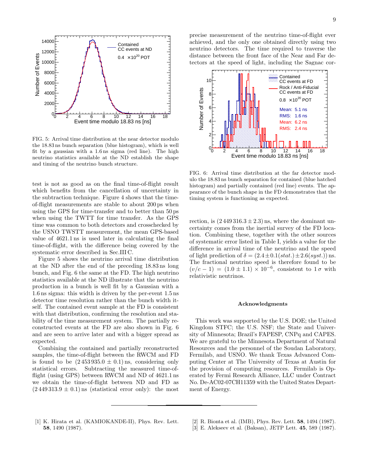

FIG. 5: Arrival time distribution at the near detector modulo the 18.83 ns bunch separation (blue histogram), which is well fit by a gaussian with a 1.6 ns sigma (red line). The high neutrino statistics available at the ND establish the shape and timing of the neutrino bunch structure.

test is not as good as on the final time-of-flight result which benefits from the cancellation of uncertainty in the subtraction technique. Figure 4 shows that the timeof-flight measurements are stable to about 200 ps when using the GPS for time-transfer and to better than 50 ps when using the TWTT for time transfer. As the GPS time was common to both detectors and crosschecked by the USNO TWSTT measurement, the mean GPS-based value of 4621.1 ns is used later in calculating the final time-of-flight, with the difference being covered by the systematic error described in Sec.III C.

Figure 5 shows the neutrino arrival time distribution at the ND after the end of the preceding 18.83 ns long bunch, and Fig. 6 the same at the FD. The high neutrino statistics available at the ND illustrate that the neutrino production in a bunch is well fit by a Gaussian with a 1.6 ns sigma: this width is driven by the per-event 1.5 ns detector time resolution rather than the bunch width itself. The contained event sample at the FD is consistent with that distribution, confirming the resolution and stability of the time measurement system. The partially reconstructed events at the FD are also shown in Fig. 6 and are seen to arrive later and with a bigger spread as expected.

Combining the contained and partially reconstructed samples, the time-of-flight between the RWCM and FD is found to be  $(2\,453\,935.0 \pm 0.1)$  ns, considering only statistical errors. Subtracting the measured time-of-Subtracting the measured time-offlight (using GPS) between RWCM and ND of  $4621.1$  ns we obtain the time-of-flight between ND and FD as  $(2\,449\,313.9\pm0.1)$  ns (statistical error only): the most

precise measurement of the neutrino time-of-flight ever achieved, and the only one obtained directly using two neutrino detectors. The time required to traverse the distance between the front face of the Near and Far detectors at the speed of light, including the Sagnac cor-



FIG. 6: Arrival time distribution at the far detector modulo the 18.83 ns bunch separation for contained (blue hatched histogram) and partially contained (red line) events. The appearance of the bunch shape in the FD demonstrates that the timing system is functioning as expected.

rection, is  $(2\,449\,316.3\pm2.3)$  ns, where the dominant uncertainty comes from the inertial survey of the FD location. Combining these, together with the other sources of systematic error listed in Table I, yields a value for the difference in arrival time of the neutrino and the speed of light prediction of  $\delta = (2.4 \pm 0.1(stat.) \pm 2.6(syst.))$  ns. The fractional neutrino speed is therefore found to be  $(v/c - 1) = (1.0 \pm 1.1) \times 10^{-6}$ , consistent to  $1\sigma$  with relativistic neutrinos.

#### Acknowledgments

This work was supported by the U.S. DOE; the United Kingdom STFC; the U.S. NSF; the State and University of Minnesota; Brazil's FAPESP, CNPq and CAPES. We are grateful to the Minnesota Department of Natural Resources and the personnel of the Soudan Laboratory, Fermilab, and USNO. We thank Texas Advanced Computing Center at The University of Texas at Austin for the provision of computing resources. Fermilab is Operated by Fermi Research Alliance, LLC under Contract No. De-AC02-07CH11359 with the United States Department of Energy.

- [1] K. Hirata et al. (KAMIOKANDE-II), Phys. Rev. Lett. 58, 1490 (1987).
- [2] R. Bionta et al. (IMB), Phys. Rev. Lett. 58, 1494 (1987).
- [3] E. Alekseev et al. (Baksan), JETP Lett. 45, 589 (1987).